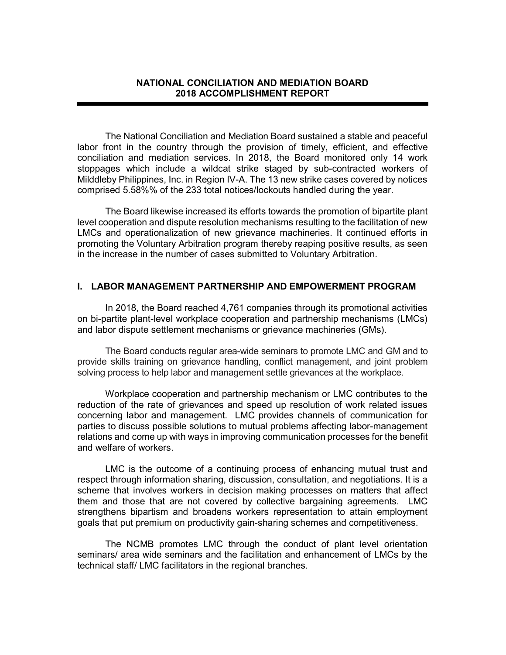#### NATIONAL CONCILIATION AND MEDIATION BOARD 2018 ACCOMPLISHMENT REPORT

i

The National Conciliation and Mediation Board sustained a stable and peaceful labor front in the country through the provision of timely, efficient, and effective conciliation and mediation services. In 2018, the Board monitored only 14 work stoppages which include a wildcat strike staged by sub-contracted workers of Milddleby Philippines, Inc. in Region IV-A. The 13 new strike cases covered by notices comprised 5.58%% of the 233 total notices/lockouts handled during the year.

The Board likewise increased its efforts towards the promotion of bipartite plant level cooperation and dispute resolution mechanisms resulting to the facilitation of new LMCs and operationalization of new grievance machineries. It continued efforts in promoting the Voluntary Arbitration program thereby reaping positive results, as seen in the increase in the number of cases submitted to Voluntary Arbitration.

#### I. LABOR MANAGEMENT PARTNERSHIP AND EMPOWERMENT PROGRAM

In 2018, the Board reached 4,761 companies through its promotional activities on bi-partite plant-level workplace cooperation and partnership mechanisms (LMCs) and labor dispute settlement mechanisms or grievance machineries (GMs).

The Board conducts regular area-wide seminars to promote LMC and GM and to provide skills training on grievance handling, conflict management, and joint problem solving process to help labor and management settle grievances at the workplace.

Workplace cooperation and partnership mechanism or LMC contributes to the reduction of the rate of grievances and speed up resolution of work related issues concerning labor and management. LMC provides channels of communication for parties to discuss possible solutions to mutual problems affecting labor-management relations and come up with ways in improving communication processes for the benefit and welfare of workers.

LMC is the outcome of a continuing process of enhancing mutual trust and respect through information sharing, discussion, consultation, and negotiations. It is a scheme that involves workers in decision making processes on matters that affect them and those that are not covered by collective bargaining agreements. LMC strengthens bipartism and broadens workers representation to attain employment goals that put premium on productivity gain-sharing schemes and competitiveness.

The NCMB promotes LMC through the conduct of plant level orientation seminars/ area wide seminars and the facilitation and enhancement of LMCs by the technical staff/ LMC facilitators in the regional branches.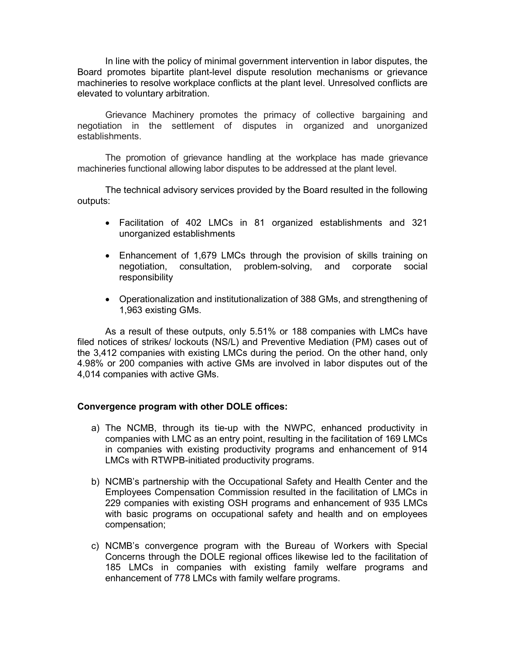In line with the policy of minimal government intervention in labor disputes, the Board promotes bipartite plant-level dispute resolution mechanisms or grievance machineries to resolve workplace conflicts at the plant level. Unresolved conflicts are elevated to voluntary arbitration.

Grievance Machinery promotes the primacy of collective bargaining and negotiation in the settlement of disputes in organized and unorganized establishments.

The promotion of grievance handling at the workplace has made grievance machineries functional allowing labor disputes to be addressed at the plant level.

The technical advisory services provided by the Board resulted in the following outputs:

- Facilitation of 402 LMCs in 81 organized establishments and 321 unorganized establishments
- Enhancement of 1,679 LMCs through the provision of skills training on negotiation, consultation, problem-solving, and corporate social responsibility
- Operationalization and institutionalization of 388 GMs, and strengthening of 1,963 existing GMs.

As a result of these outputs, only 5.51% or 188 companies with LMCs have filed notices of strikes/ lockouts (NS/L) and Preventive Mediation (PM) cases out of the 3,412 companies with existing LMCs during the period. On the other hand, only 4.98% or 200 companies with active GMs are involved in labor disputes out of the 4,014 companies with active GMs.

#### Convergence program with other DOLE offices:

- a) The NCMB, through its tie-up with the NWPC, enhanced productivity in companies with LMC as an entry point, resulting in the facilitation of 169 LMCs in companies with existing productivity programs and enhancement of 914 LMCs with RTWPB-initiated productivity programs.
- b) NCMB's partnership with the Occupational Safety and Health Center and the Employees Compensation Commission resulted in the facilitation of LMCs in 229 companies with existing OSH programs and enhancement of 935 LMCs with basic programs on occupational safety and health and on employees compensation;
- c) NCMB's convergence program with the Bureau of Workers with Special Concerns through the DOLE regional offices likewise led to the facilitation of 185 LMCs in companies with existing family welfare programs and enhancement of 778 LMCs with family welfare programs.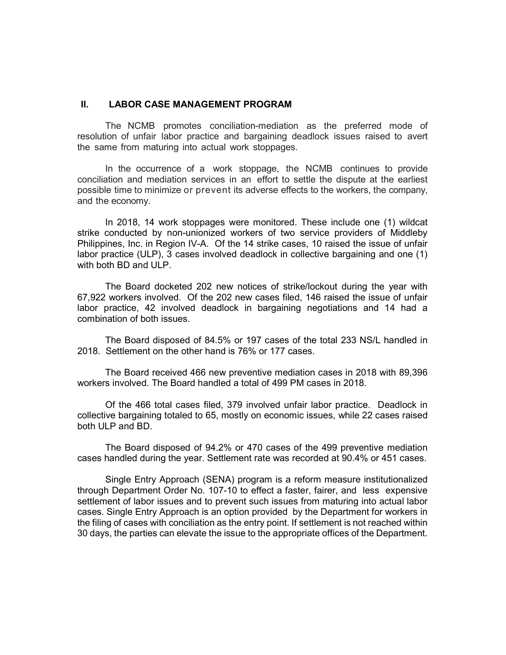#### II. LABOR CASE MANAGEMENT PROGRAM

The NCMB promotes conciliation-mediation as the preferred mode of resolution of unfair labor practice and bargaining deadlock issues raised to avert the same from maturing into actual work stoppages.

In the occurrence of a work stoppage, the NCMB continues to provide conciliation and mediation services in an effort to settle the dispute at the earliest possible time to minimize or prevent its adverse effects to the workers, the company, and the economy.

In 2018, 14 work stoppages were monitored. These include one (1) wildcat strike conducted by non-unionized workers of two service providers of Middleby Philippines, Inc. in Region IV-A. Of the 14 strike cases, 10 raised the issue of unfair labor practice (ULP), 3 cases involved deadlock in collective bargaining and one (1) with both BD and ULP.

The Board docketed 202 new notices of strike/lockout during the year with 67,922 workers involved. Of the 202 new cases filed, 146 raised the issue of unfair labor practice, 42 involved deadlock in bargaining negotiations and 14 had a combination of both issues.

The Board disposed of 84.5% or 197 cases of the total 233 NS/L handled in 2018. Settlement on the other hand is 76% or 177 cases.

The Board received 466 new preventive mediation cases in 2018 with 89,396 workers involved. The Board handled a total of 499 PM cases in 2018.

Of the 466 total cases filed, 379 involved unfair labor practice. Deadlock in collective bargaining totaled to 65, mostly on economic issues, while 22 cases raised both ULP and BD.

The Board disposed of 94.2% or 470 cases of the 499 preventive mediation cases handled during the year. Settlement rate was recorded at 90.4% or 451 cases.

Single Entry Approach (SENA) program is a reform measure institutionalized through Department Order No. 107-10 to effect a faster, fairer, and less expensive settlement of labor issues and to prevent such issues from maturing into actual labor cases. Single Entry Approach is an option provided by the Department for workers in the filing of cases with conciliation as the entry point. If settlement is not reached within 30 days, the parties can elevate the issue to the appropriate offices of the Department.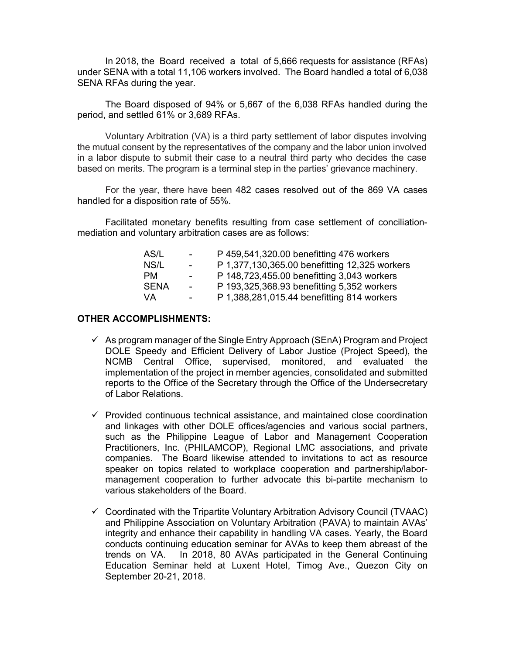In 2018, the Board received a total of 5,666 requests for assistance (RFAs) under SENA with a total 11,106 workers involved. The Board handled a total of 6,038 SENA RFAs during the year.

The Board disposed of 94% or 5,667 of the 6,038 RFAs handled during the period, and settled 61% or 3,689 RFAs.

Voluntary Arbitration (VA) is a third party settlement of labor disputes involving the mutual consent by the representatives of the company and the labor union involved in a labor dispute to submit their case to a neutral third party who decides the case based on merits. The program is a terminal step in the parties' grievance machinery.

For the year, there have been 482 cases resolved out of the 869 VA cases handled for a disposition rate of 55%.

Facilitated monetary benefits resulting from case settlement of conciliationmediation and voluntary arbitration cases are as follows:

| AS/L        | $\sim$ 10 $\pm$ | P 459,541,320.00 benefitting 476 workers      |
|-------------|-----------------|-----------------------------------------------|
| NS/L        | $\sim$ 10 $\pm$ | P 1,377,130,365.00 benefitting 12,325 workers |
| <b>PM</b>   | $\sim$          | P 148,723,455.00 benefitting 3,043 workers    |
| <b>SENA</b> | $\sim$ 10 $\pm$ | P 193,325,368.93 benefitting 5,352 workers    |
| VA          | $\blacksquare$  | P 1,388,281,015.44 benefitting 814 workers    |

#### OTHER ACCOMPLISHMENTS:

- $\checkmark$  As program manager of the Single Entry Approach (SEnA) Program and Project DOLE Speedy and Efficient Delivery of Labor Justice (Project Speed), the NCMB Central Office, supervised, monitored, and evaluated the implementation of the project in member agencies, consolidated and submitted reports to the Office of the Secretary through the Office of the Undersecretary of Labor Relations.
- $\checkmark$  Provided continuous technical assistance, and maintained close coordination and linkages with other DOLE offices/agencies and various social partners, such as the Philippine League of Labor and Management Cooperation Practitioners, Inc. (PHILAMCOP), Regional LMC associations, and private companies. The Board likewise attended to invitations to act as resource speaker on topics related to workplace cooperation and partnership/labormanagement cooperation to further advocate this bi-partite mechanism to various stakeholders of the Board.
- $\checkmark$  Coordinated with the Tripartite Voluntary Arbitration Advisory Council (TVAAC) and Philippine Association on Voluntary Arbitration (PAVA) to maintain AVAs' integrity and enhance their capability in handling VA cases. Yearly, the Board conducts continuing education seminar for AVAs to keep them abreast of the trends on VA. In 2018, 80 AVAs participated in the General Continuing Education Seminar held at Luxent Hotel, Timog Ave., Quezon City on September 20-21, 2018.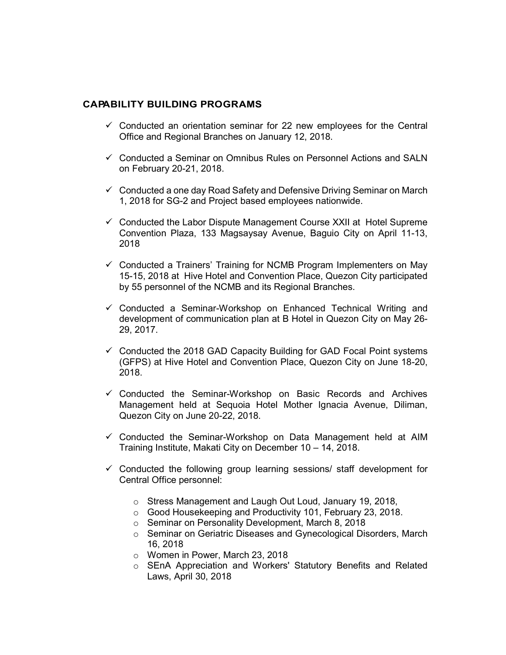### CAPABILITY BUILDING PROGRAMS

- $\checkmark$  Conducted an orientation seminar for 22 new employees for the Central Office and Regional Branches on January 12, 2018.
- $\checkmark$  Conducted a Seminar on Omnibus Rules on Personnel Actions and SALN on February 20-21, 2018.
- $\checkmark$  Conducted a one day Road Safety and Defensive Driving Seminar on March 1, 2018 for SG-2 and Project based employees nationwide.
- $\checkmark$  Conducted the Labor Dispute Management Course XXII at Hotel Supreme Convention Plaza, 133 Magsaysay Avenue, Baguio City on April 11-13, 2018
- $\checkmark$  Conducted a Trainers' Training for NCMB Program Implementers on May 15-15, 2018 at Hive Hotel and Convention Place, Quezon City participated by 55 personnel of the NCMB and its Regional Branches.
- $\checkmark$  Conducted a Seminar-Workshop on Enhanced Technical Writing and development of communication plan at B Hotel in Quezon City on May 26- 29, 2017.
- $\checkmark$  Conducted the 2018 GAD Capacity Building for GAD Focal Point systems (GFPS) at Hive Hotel and Convention Place, Quezon City on June 18-20, 2018.
- $\checkmark$  Conducted the Seminar-Workshop on Basic Records and Archives Management held at Sequoia Hotel Mother Ignacia Avenue, Diliman, Quezon City on June 20-22, 2018.
- $\checkmark$  Conducted the Seminar-Workshop on Data Management held at AIM Training Institute, Makati City on December 10 – 14, 2018.
- $\checkmark$  Conducted the following group learning sessions/ staff development for Central Office personnel:
	- o Stress Management and Laugh Out Loud, January 19, 2018,
	- o Good Housekeeping and Productivity 101, February 23, 2018.
	- o Seminar on Personality Development, March 8, 2018
	- o Seminar on Geriatric Diseases and Gynecological Disorders, March 16, 2018
	- o Women in Power, March 23, 2018
	- o SEnA Appreciation and Workers' Statutory Benefits and Related Laws, April 30, 2018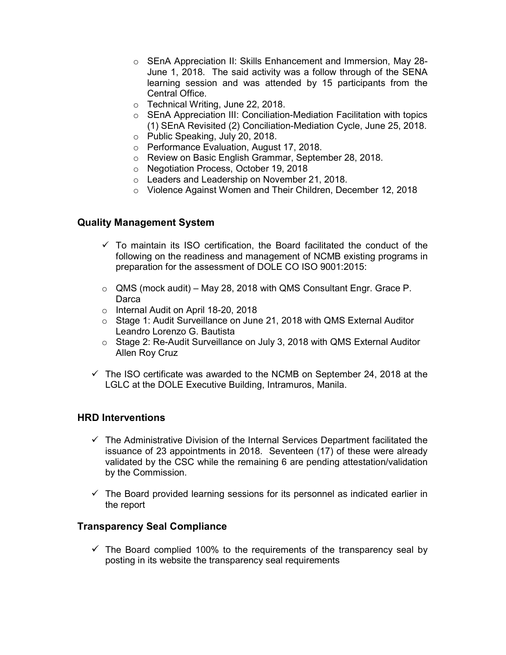- o SEnA Appreciation II: Skills Enhancement and Immersion, May 28- June 1, 2018. The said activity was a follow through of the SENA learning session and was attended by 15 participants from the Central Office.
- o Technical Writing, June 22, 2018.
- o SEnA Appreciation III: Conciliation-Mediation Facilitation with topics (1) SEnA Revisited (2) Conciliation-Mediation Cycle, June 25, 2018.
- o Public Speaking, July 20, 2018.
- o Performance Evaluation, August 17, 2018.
- o Review on Basic English Grammar, September 28, 2018.
- o Negotiation Process, October 19, 2018
- o Leaders and Leadership on November 21, 2018.
- o Violence Against Women and Their Children, December 12, 2018

## Quality Management System

- $\checkmark$  To maintain its ISO certification, the Board facilitated the conduct of the following on the readiness and management of NCMB existing programs in preparation for the assessment of DOLE CO ISO 9001:2015:
- $\circ$  QMS (mock audit) May 28, 2018 with QMS Consultant Engr. Grace P. **Darca**
- o Internal Audit on April 18-20, 2018
- o Stage 1: Audit Surveillance on June 21, 2018 with QMS External Auditor Leandro Lorenzo G. Bautista
- $\circ$  Stage 2: Re-Audit Surveillance on July 3, 2018 with QMS External Auditor Allen Roy Cruz
- $\checkmark$  The ISO certificate was awarded to the NCMB on September 24, 2018 at the LGLC at the DOLE Executive Building, Intramuros, Manila.

## HRD Interventions

- $\checkmark$  The Administrative Division of the Internal Services Department facilitated the issuance of 23 appointments in 2018. Seventeen (17) of these were already validated by the CSC while the remaining 6 are pending attestation/validation by the Commission.
- $\checkmark$  The Board provided learning sessions for its personnel as indicated earlier in the report

## Transparency Seal Compliance

 $\checkmark$  The Board complied 100% to the requirements of the transparency seal by posting in its website the transparency seal requirements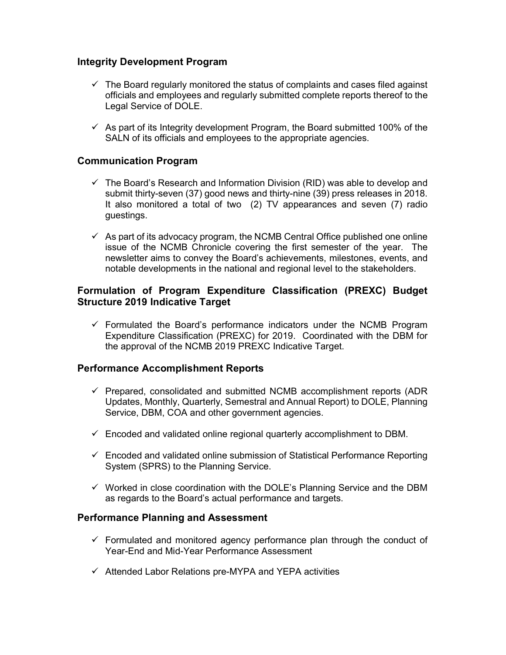# Integrity Development Program

- $\checkmark$  The Board regularly monitored the status of complaints and cases filed against officials and employees and regularly submitted complete reports thereof to the Legal Service of DOLE.
- $\checkmark$  As part of its Integrity development Program, the Board submitted 100% of the SALN of its officials and employees to the appropriate agencies.

## Communication Program

- $\checkmark$  The Board's Research and Information Division (RID) was able to develop and submit thirty-seven (37) good news and thirty-nine (39) press releases in 2018. It also monitored a total of two (2) TV appearances and seven (7) radio guestings.
- $\checkmark$  As part of its advocacy program, the NCMB Central Office published one online issue of the NCMB Chronicle covering the first semester of the year. The newsletter aims to convey the Board's achievements, milestones, events, and notable developments in the national and regional level to the stakeholders.

# Formulation of Program Expenditure Classification (PREXC) Budget Structure 2019 Indicative Target

 $\checkmark$  Formulated the Board's performance indicators under the NCMB Program Expenditure Classification (PREXC) for 2019. Coordinated with the DBM for the approval of the NCMB 2019 PREXC Indicative Target.

## Performance Accomplishment Reports

- $\checkmark$  Prepared, consolidated and submitted NCMB accomplishment reports (ADR Updates, Monthly, Quarterly, Semestral and Annual Report) to DOLE, Planning Service, DBM, COA and other government agencies.
- $\checkmark$  Encoded and validated online regional quarterly accomplishment to DBM.
- $\checkmark$  Encoded and validated online submission of Statistical Performance Reporting System (SPRS) to the Planning Service.
- $\checkmark$  Worked in close coordination with the DOLE's Planning Service and the DBM as regards to the Board's actual performance and targets.

#### Performance Planning and Assessment

- $\checkmark$  Formulated and monitored agency performance plan through the conduct of Year-End and Mid-Year Performance Assessment
- $\checkmark$  Attended Labor Relations pre-MYPA and YEPA activities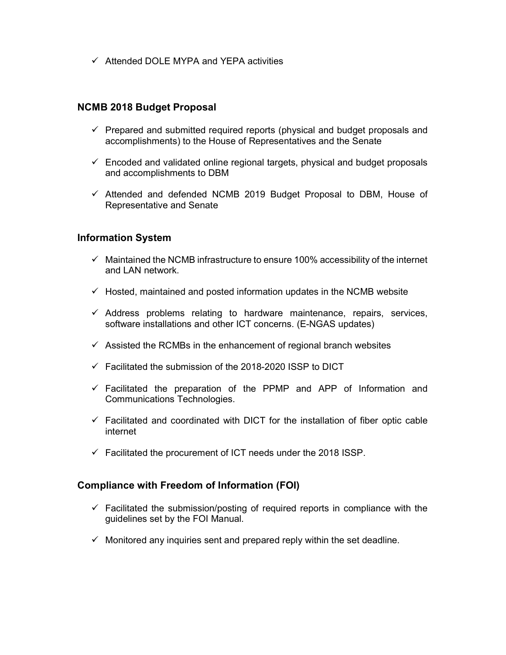$\checkmark$  Attended DOLE MYPA and YEPA activities

#### NCMB 2018 Budget Proposal

- $\checkmark$  Prepared and submitted required reports (physical and budget proposals and accomplishments) to the House of Representatives and the Senate
- $\checkmark$  Encoded and validated online regional targets, physical and budget proposals and accomplishments to DBM
- $\checkmark$  Attended and defended NCMB 2019 Budget Proposal to DBM, House of Representative and Senate

### Information System

- $\checkmark$  Maintained the NCMB infrastructure to ensure 100% accessibility of the internet and LAN network
- $\checkmark$  Hosted, maintained and posted information updates in the NCMB website
- $\checkmark$  Address problems relating to hardware maintenance, repairs, services, software installations and other ICT concerns. (E-NGAS updates)
- $\checkmark$  Assisted the RCMBs in the enhancement of regional branch websites
- $\checkmark$  Facilitated the submission of the 2018-2020 ISSP to DICT
- $\checkmark$  Facilitated the preparation of the PPMP and APP of Information and Communications Technologies.
- $\checkmark$  Facilitated and coordinated with DICT for the installation of fiber optic cable internet
- $\checkmark$  Facilitated the procurement of ICT needs under the 2018 ISSP.

#### Compliance with Freedom of Information (FOI)

- $\checkmark$  Facilitated the submission/posting of required reports in compliance with the guidelines set by the FOI Manual.
- $\checkmark$  Monitored any inquiries sent and prepared reply within the set deadline.